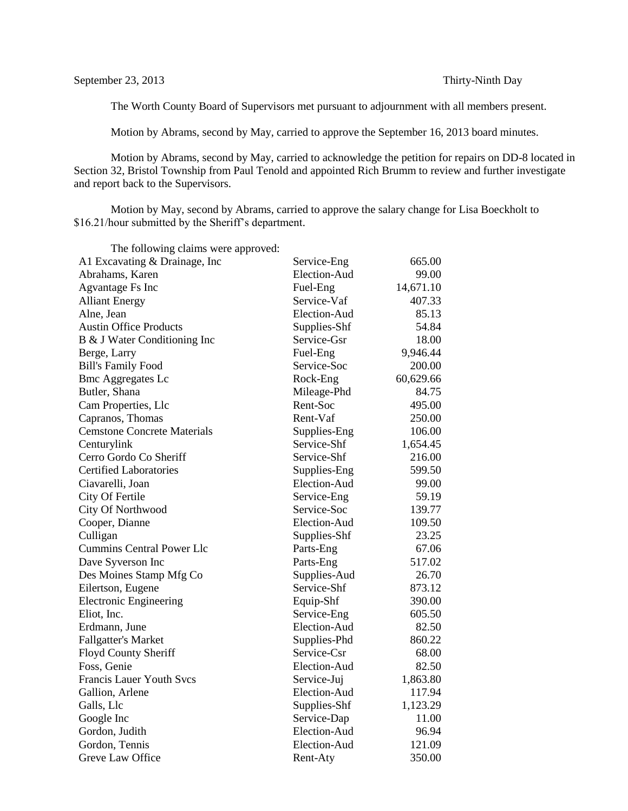The Worth County Board of Supervisors met pursuant to adjournment with all members present.

Motion by Abrams, second by May, carried to approve the September 16, 2013 board minutes.

Motion by Abrams, second by May, carried to acknowledge the petition for repairs on DD-8 located in Section 32, Bristol Township from Paul Tenold and appointed Rich Brumm to review and further investigate and report back to the Supervisors.

Motion by May, second by Abrams, carried to approve the salary change for Lisa Boeckholt to \$16.21/hour submitted by the Sheriff's department.

| The following claims were approved: |              |           |
|-------------------------------------|--------------|-----------|
| A1 Excavating & Drainage, Inc       | Service-Eng  | 665.00    |
| Abrahams, Karen                     | Election-Aud | 99.00     |
| <b>Agvantage Fs Inc</b>             | Fuel-Eng     | 14,671.10 |
| <b>Alliant Energy</b>               | Service-Vaf  | 407.33    |
| Alne, Jean                          | Election-Aud | 85.13     |
| <b>Austin Office Products</b>       | Supplies-Shf | 54.84     |
| B & J Water Conditioning Inc        | Service-Gsr  | 18.00     |
| Berge, Larry                        | Fuel-Eng     | 9,946.44  |
| <b>Bill's Family Food</b>           | Service-Soc  | 200.00    |
| <b>Bmc Aggregates Lc</b>            | Rock-Eng     | 60,629.66 |
| Butler, Shana                       | Mileage-Phd  | 84.75     |
| Cam Properties, Llc                 | Rent-Soc     | 495.00    |
| Capranos, Thomas                    | Rent-Vaf     | 250.00    |
| <b>Cemstone Concrete Materials</b>  | Supplies-Eng | 106.00    |
| Centurylink                         | Service-Shf  | 1,654.45  |
| Cerro Gordo Co Sheriff              | Service-Shf  | 216.00    |
| <b>Certified Laboratories</b>       | Supplies-Eng | 599.50    |
| Ciavarelli, Joan                    | Election-Aud | 99.00     |
| City Of Fertile                     | Service-Eng  | 59.19     |
| City Of Northwood                   | Service-Soc  | 139.77    |
| Cooper, Dianne                      | Election-Aud | 109.50    |
| Culligan                            | Supplies-Shf | 23.25     |
| <b>Cummins Central Power Llc</b>    | Parts-Eng    | 67.06     |
| Dave Syverson Inc                   | Parts-Eng    | 517.02    |
| Des Moines Stamp Mfg Co             | Supplies-Aud | 26.70     |
| Eilertson, Eugene                   | Service-Shf  | 873.12    |
| <b>Electronic Engineering</b>       | Equip-Shf    | 390.00    |
| Eliot, Inc.                         | Service-Eng  | 605.50    |
| Erdmann, June                       | Election-Aud | 82.50     |
| <b>Fallgatter's Market</b>          | Supplies-Phd | 860.22    |
| Floyd County Sheriff                | Service-Csr  | 68.00     |
| Foss, Genie                         | Election-Aud | 82.50     |
| <b>Francis Lauer Youth Svcs</b>     | Service-Juj  | 1,863.80  |
| Gallion, Arlene                     | Election-Aud | 117.94    |
| Galls, Llc                          | Supplies-Shf | 1,123.29  |
| Google Inc                          | Service-Dap  | 11.00     |
| Gordon, Judith                      | Election-Aud | 96.94     |
| Gordon, Tennis                      | Election-Aud | 121.09    |
| Greve Law Office                    | Rent-Atv     | 350.00    |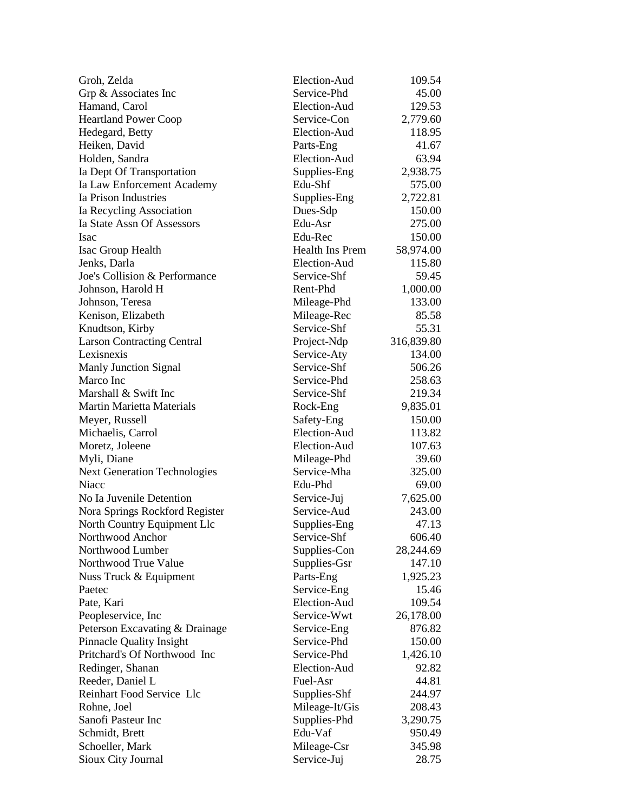| Groh, Zelda                                     | Election-Aud                | 109.54              |
|-------------------------------------------------|-----------------------------|---------------------|
| Grp & Associates Inc                            | Service-Phd                 | 45.00               |
| Hamand, Carol                                   | Election-Aud                | 129.53              |
| <b>Heartland Power Coop</b>                     | Service-Con                 | 2,779.60            |
| Hedegard, Betty                                 | Election-Aud                | 118.95              |
| Heiken, David                                   | Parts-Eng                   | 41.67               |
| Holden, Sandra                                  | Election-Aud                | 63.94               |
| Ia Dept Of Transportation                       | Supplies-Eng                | 2,938.75            |
| Ia Law Enforcement Academy                      | Edu-Shf                     | 575.00              |
| Ia Prison Industries                            | Supplies-Eng                | 2,722.81            |
| Ia Recycling Association                        | Dues-Sdp                    | 150.00              |
| Ia State Assn Of Assessors                      | Edu-Asr                     | 275.00              |
| Isac                                            | Edu-Rec                     | 150.00              |
| Isac Group Health                               | <b>Health Ins Prem</b>      | 58,974.00           |
| Jenks, Darla                                    | Election-Aud                | 115.80              |
| Joe's Collision & Performance                   | Service-Shf                 | 59.45               |
| Johnson, Harold H                               | Rent-Phd                    | 1,000.00            |
| Johnson, Teresa                                 | Mileage-Phd                 | 133.00              |
| Kenison, Elizabeth                              | Mileage-Rec                 | 85.58               |
| Knudtson, Kirby                                 | Service-Shf                 | 55.31               |
| <b>Larson Contracting Central</b>               | Project-Ndp                 | 316,839.80          |
| Lexisnexis                                      | Service-Aty                 | 134.00              |
| Manly Junction Signal                           | Service-Shf                 | 506.26              |
| Marco Inc                                       | Service-Phd                 | 258.63              |
| Marshall & Swift Inc                            | Service-Shf                 | 219.34              |
| <b>Martin Marietta Materials</b>                | Rock-Eng                    | 9,835.01            |
| Meyer, Russell                                  | Safety-Eng                  | 150.00              |
| Michaelis, Carrol                               | Election-Aud                | 113.82              |
| Moretz, Joleene                                 | Election-Aud                | 107.63              |
| Myli, Diane                                     | Mileage-Phd                 | 39.60               |
| <b>Next Generation Technologies</b>             | Service-Mha                 | 325.00              |
| Niacc                                           | Edu-Phd                     | 69.00               |
| No Ia Juvenile Detention                        | Service-Juj                 | 7,625.00            |
|                                                 | Service-Aud                 | 243.00              |
| Nora Springs Rockford Register                  |                             | 47.13               |
| North Country Equipment Llc<br>Northwood Anchor | Supplies-Eng<br>Service-Shf | 606.40              |
| Northwood Lumber                                |                             |                     |
| Northwood True Value                            | Supplies-Con                | 28,244.69<br>147.10 |
|                                                 | Supplies-Gsr                | 1,925.23            |
| Nuss Truck & Equipment                          | Parts-Eng                   | 15.46               |
| Paetec                                          | Service-Eng<br>Election-Aud |                     |
| Pate, Kari                                      |                             | 109.54              |
| Peopleservice, Inc.                             | Service-Wwt                 | 26,178.00           |
| Peterson Excavating & Drainage                  | Service-Eng                 | 876.82              |
| <b>Pinnacle Quality Insight</b>                 | Service-Phd                 | 150.00              |
| Pritchard's Of Northwood Inc                    | Service-Phd                 | 1,426.10            |
| Redinger, Shanan                                | Election-Aud                | 92.82               |
| Reeder, Daniel L                                | Fuel-Asr                    | 44.81               |
| Reinhart Food Service Llc                       | Supplies-Shf                | 244.97              |
| Rohne, Joel                                     | Mileage-It/Gis              | 208.43              |
| Sanofi Pasteur Inc                              | Supplies-Phd                | 3,290.75            |
| Schmidt, Brett                                  | Edu-Vaf                     | 950.49              |
| Schoeller, Mark                                 | Mileage-Csr                 | 345.98              |
| Sioux City Journal                              | Service-Juj                 | 28.75               |